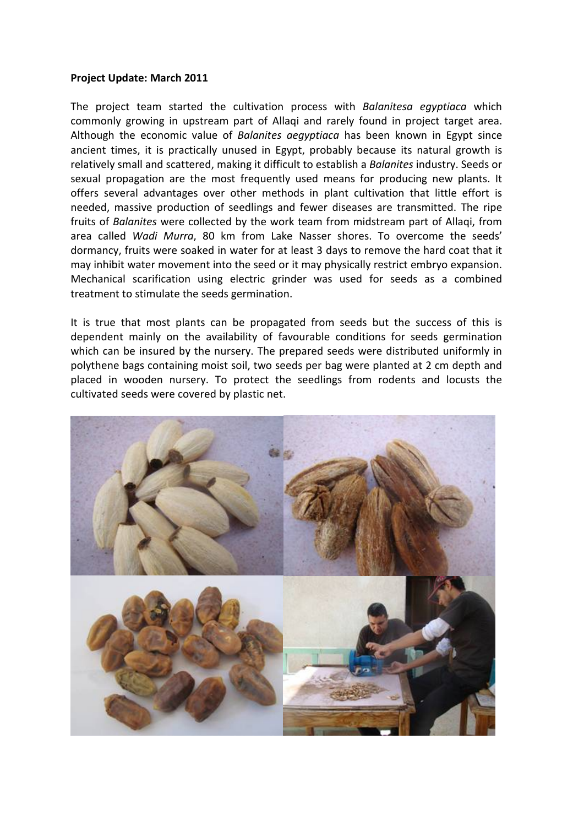## **Project Update: March 2011**

The project team started the cultivation process with *Balanitesa egyptiaca* which commonly growing in upstream part of Allaqi and rarely found in project target area. Although the economic value of *Balanites aegyptiaca* has been known in Egypt since ancient times, it is practically unused in Egypt, probably because its natural growth is relatively small and scattered, making it difficult to establish a *Balanites* industry. Seeds or sexual propagation are the most frequently used means for producing new plants. It offers several advantages over other methods in plant cultivation that little effort is needed, massive production of seedlings and fewer diseases are transmitted. The ripe fruits of *Balanites* were collected by the work team from midstream part of Allaqi, from area called *Wadi Murra*, 80 km from Lake Nasser shores. To overcome the seeds' dormancy, fruits were soaked in water for at least 3 days to remove the hard coat that it may inhibit water movement into the seed or it may physically restrict embryo expansion. Mechanical scarification using electric grinder was used for seeds as a combined treatment to stimulate the seeds germination.

It is true that most plants can be propagated from seeds but the success of this is dependent mainly on the availability of favourable conditions for seeds germination which can be insured by the nursery. The prepared seeds were distributed uniformly in polythene bags containing moist soil, two seeds per bag were planted at 2 cm depth and placed in wooden nursery. To protect the seedlings from rodents and locusts the cultivated seeds were covered by plastic net.